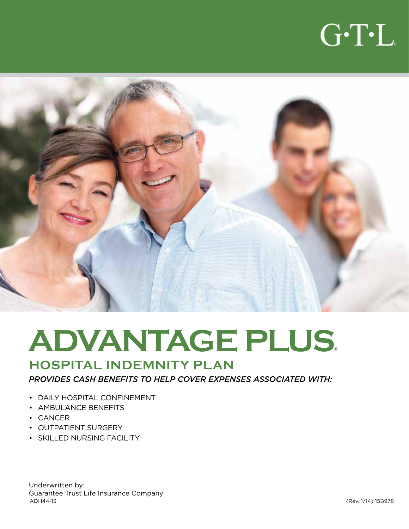



# **ADVANTAGE PLUS**®

### **HOSPITAL INDEMNITY PLAN**

*PROVIDES CASH BENEFITS TO HELP COVER EXPENSES ASSOCIATED WITH:*

- DAILY HOSPITAL CONFINEMENT
- AMBULANCE BENEFITS
- CANCER
- OUTPATIENT SURGERY
- SKILLED NURSING FACILITY

Underwritten by: Guarantee Trust Life Insurance Company ADH44-13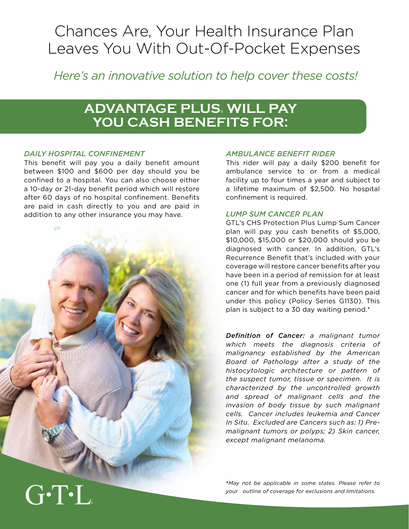## Chances Are, Your Health Insurance Plan Leaves You With Out-Of-Pocket Expenses

*Here's an innovative solution to help cover these costs!*

### **ADVANTAGE PLUS**® **WILL PAY YOU CASH BENEFITS FOR:**

#### *DAILY HOSPITAL CONFINEMENT*

This benefit will pay you a daily benefit amount between \$100 and \$600 per day should you be confined to a hospital. You can also choose either a 10-day or 21-day benefit period which will restore after 60 days of no hospital confinement. Benefits are paid in cash directly to you and are paid in addition to any other insurance you may have.



#### *AMBULANCE BENEFIT RIDER*

This rider will pay a daily \$200 benefit for ambulance service to or from a medical facility up to four times a year and subject to a lifetime maximum of \$2,500. No hospital confinement is required.

#### *LUMP SUM CANCER PLAN*

GTL's CHS Protection Plus Lump Sum Cancer plan will pay you cash benefits of \$5,000, \$10,000, \$15,000 or \$20,000 should you be diagnosed with cancer. In addition, GTL's Recurrence Benefit that's included with your coverage will restore cancer benefits after you have been in a period of remission for at least one (1) full year from a previously diagnosed cancer and for which benefits have been paid under this policy (Policy Series G1130). This plan is subject to a 30 day waiting period.\*

*Definition of Cancer: a malignant tumor which meets the diagnosis criteria of malignancy established by the American Board of Pathology after a study of the histocytologic architecture or pattern of the suspect tumor, tissue or specimen. It is characterized by the uncontrolled growth and spread of malignant cells and the invasion of body tissue by such malignant cells. Cancer includes leukemia and Cancer In Situ. Excluded are Cancers such as: 1) Premalignant tumors or polyps; 2) Skin cancer, except malignant melanoma.*

\**May not be applicable in some states. Please refer to your outline of coverage for exclusions and limitations.*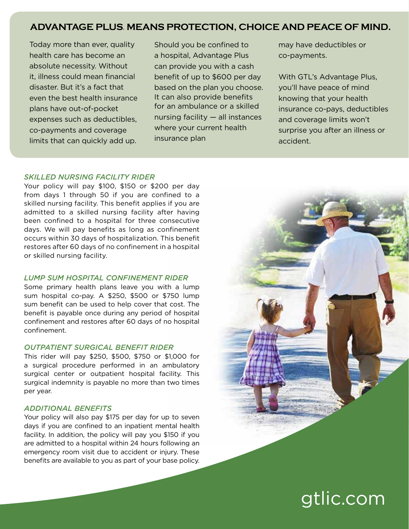#### **ADVANTAGE PLUS**® **MEANS PROTECTION, CHOICE AND PEACE OF MIND.**

Today more than ever, quality health care has become an absolute necessity. Without it, illness could mean financial disaster. But it's a fact that even the best health insurance plans have out-of-pocket expenses such as deductibles, co-payments and coverage limits that can quickly add up.

Should you be confined to a hospital, Advantage Plus can provide you with a cash benefit of up to \$600 per day based on the plan you choose. It can also provide benefits for an ambulance or a skilled nursing facility — all instances where your current health insurance plan

may have deductibles or co-payments.

With GTL's Advantage Plus, you'll have peace of mind knowing that your health insurance co-pays, deductibles and coverage limits won't surprise you after an illness or accident.

#### *SKILLED NURSING FACILITY RIDER*

Your policy will pay \$100, \$150 or \$200 per day from days 1 through 50 if you are confined to a skilled nursing facility. This benefit applies if you are admitted to a skilled nursing facility after having been confined to a hospital for three consecutive days. We will pay benefits as long as confinement occurs within 30 days of hospitalization. This benefit restores after 60 days of no confinement in a hospital or skilled nursing facility.

#### *LUMP SUM HOSPITAL CONFINEMENT RIDER*

Some primary health plans leave you with a lump sum hospital co-pay. A \$250, \$500 or \$750 lump sum benefit can be used to help cover that cost. The benefit is payable once during any period of hospital confinement and restores after 60 days of no hospital confinement.

#### *OUTPATIENT SURGICAL BENEFIT RIDER*

This rider will pay \$250, \$500, \$750 or \$1,000 for a surgical procedure performed in an ambulatory surgical center or outpatient hospital facility. This surgical indemnity is payable no more than two times per year.

#### *ADDITIONAL BENEFITS*

Your policy will also pay \$175 per day for up to seven days if you are confined to an inpatient mental health facility. In addition, the policy will pay you \$150 if you are admitted to a hospital within 24 hours following an emergency room visit due to accident or injury. These benefits are available to you as part of your base policy.



## gtlic.com